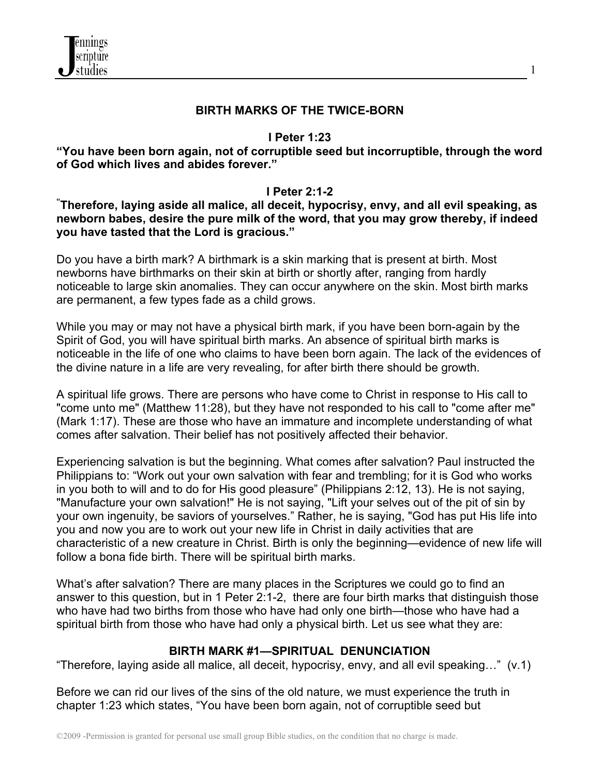

#### **BIRTH MARKS OF THE TWICE-BORN**

#### **I Peter 1:23**

**"You have been born again, not of corruptible seed but incorruptible, through the word of God which lives and abides forever."**

**I Peter 2:1-2 " Therefore, laying aside all malice, all deceit, hypocrisy, envy, and all evil speaking, as newborn babes, desire the pure milk of the word, that you may grow thereby, if indeed you have tasted that the Lord is gracious."** 

Do you have a birth mark? A birthmark is a skin marking that is present at birth. Most newborns have birthmarks on their skin at birth or shortly after, ranging from hardly noticeable to large skin anomalies. They can occur anywhere on the skin. Most birth marks are permanent, a few types fade as a child grows.

While you may or may not have a physical birth mark, if you have been born-again by the Spirit of God, you will have spiritual birth marks. An absence of spiritual birth marks is noticeable in the life of one who claims to have been born again. The lack of the evidences of the divine nature in a life are very revealing, for after birth there should be growth.

A spiritual life grows. There are persons who have come to Christ in response to His call to "come unto me" (Matthew 11:28), but they have not responded to his call to "come after me" (Mark 1:17). These are those who have an immature and incomplete understanding of what comes after salvation. Their belief has not positively affected their behavior.

Experiencing salvation is but the beginning. What comes after salvation? Paul instructed the Philippians to: "Work out your own salvation with fear and trembling; for it is God who works in you both to will and to do for His good pleasure" (Philippians 2:12, 13). He is not saying, "Manufacture your own salvation!" He is not saying, "Lift your selves out of the pit of sin by your own ingenuity, be saviors of yourselves." Rather, he is saying, "God has put His life into you and now you are to work out your new life in Christ in daily activities that are characteristic of a new creature in Christ. Birth is only the beginning—evidence of new life will follow a bona fide birth. There will be spiritual birth marks.

What's after salvation? There are many places in the Scriptures we could go to find an answer to this question, but in 1 Peter 2:1-2, there are four birth marks that distinguish those who have had two births from those who have had only one birth—those who have had a spiritual birth from those who have had only a physical birth. Let us see what they are:

## **BIRTH MARK #1—SPIRITUAL DENUNCIATION**

"Therefore, laying aside all malice, all deceit, hypocrisy, envy, and all evil speaking…" (v.1)

Before we can rid our lives of the sins of the old nature, we must experience the truth in chapter 1:23 which states, "You have been born again, not of corruptible seed but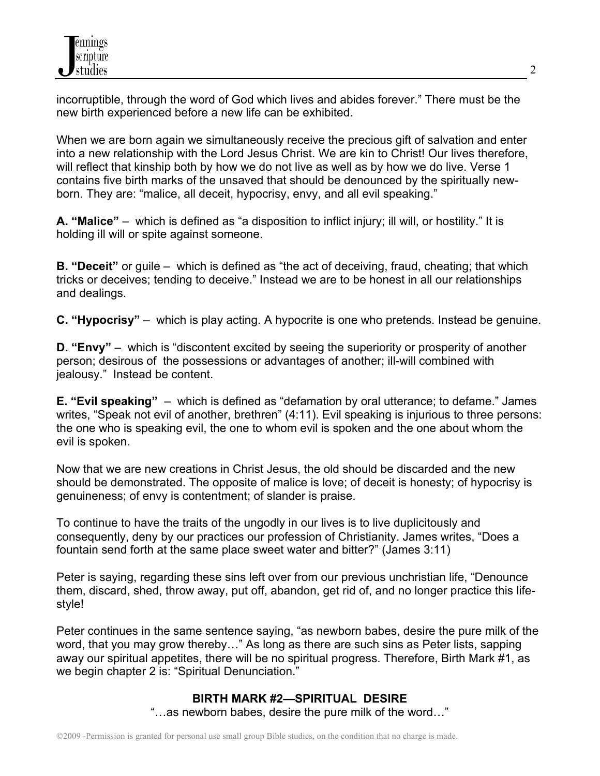incorruptible, through the word of God which lives and abides forever." There must be the new birth experienced before a new life can be exhibited.

When we are born again we simultaneously receive the precious gift of salvation and enter into a new relationship with the Lord Jesus Christ. We are kin to Christ! Our lives therefore, will reflect that kinship both by how we do not live as well as by how we do live. Verse 1 contains five birth marks of the unsaved that should be denounced by the spiritually newborn. They are: "malice, all deceit, hypocrisy, envy, and all evil speaking."

**A. "Malice"** – which is defined as "a disposition to inflict injury; ill will, or hostility." It is holding ill will or spite against someone.

**B. "Deceit"** or guile – which is defined as "the act of deceiving, fraud, cheating; that which tricks or deceives; tending to deceive." Instead we are to be honest in all our relationships and dealings.

**C. "Hypocrisy"** – which is play acting. A hypocrite is one who pretends. Instead be genuine.

**D. "Envy"** – which is "discontent excited by seeing the superiority or prosperity of another person; desirous of the possessions or advantages of another; ill-will combined with jealousy." Instead be content.

**E. "Evil speaking"** – which is defined as "defamation by oral utterance; to defame." James writes, "Speak not evil of another, brethren" (4:11). Evil speaking is injurious to three persons: the one who is speaking evil, the one to whom evil is spoken and the one about whom the evil is spoken.

Now that we are new creations in Christ Jesus, the old should be discarded and the new should be demonstrated. The opposite of malice is love; of deceit is honesty; of hypocrisy is genuineness; of envy is contentment; of slander is praise.

To continue to have the traits of the ungodly in our lives is to live duplicitously and consequently, deny by our practices our profession of Christianity. James writes, "Does a fountain send forth at the same place sweet water and bitter?" (James 3:11)

Peter is saying, regarding these sins left over from our previous unchristian life, "Denounce them, discard, shed, throw away, put off, abandon, get rid of, and no longer practice this lifestyle!

Peter continues in the same sentence saying, "as newborn babes, desire the pure milk of the word, that you may grow thereby…" As long as there are such sins as Peter lists, sapping away our spiritual appetites, there will be no spiritual progress. Therefore, Birth Mark #1, as we begin chapter 2 is: "Spiritual Denunciation."

# **BIRTH MARK #2—SPIRITUAL DESIRE**

"…as newborn babes, desire the pure milk of the word…"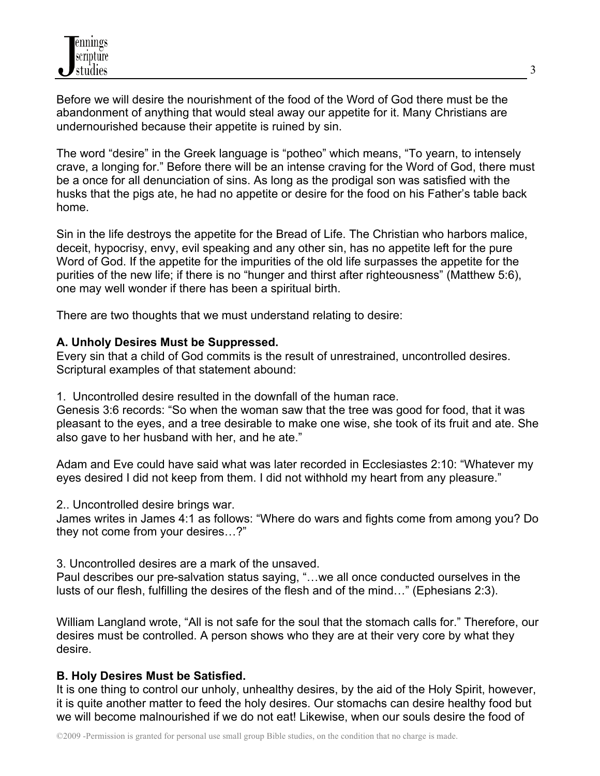Before we will desire the nourishment of the food of the Word of God there must be the abandonment of anything that would steal away our appetite for it. Many Christians are undernourished because their appetite is ruined by sin.

The word "desire" in the Greek language is "potheo" which means, "To yearn, to intensely crave, a longing for." Before there will be an intense craving for the Word of God, there must be a once for all denunciation of sins. As long as the prodigal son was satisfied with the husks that the pigs ate, he had no appetite or desire for the food on his Father's table back home.

Sin in the life destroys the appetite for the Bread of Life. The Christian who harbors malice, deceit, hypocrisy, envy, evil speaking and any other sin, has no appetite left for the pure Word of God. If the appetite for the impurities of the old life surpasses the appetite for the purities of the new life; if there is no "hunger and thirst after righteousness" (Matthew 5:6), one may well wonder if there has been a spiritual birth.

There are two thoughts that we must understand relating to desire:

## **A. Unholy Desires Must be Suppressed.**

Every sin that a child of God commits is the result of unrestrained, uncontrolled desires. Scriptural examples of that statement abound:

1. Uncontrolled desire resulted in the downfall of the human race.

Genesis 3:6 records: "So when the woman saw that the tree was good for food, that it was pleasant to the eyes, and a tree desirable to make one wise, she took of its fruit and ate. She also gave to her husband with her, and he ate."

Adam and Eve could have said what was later recorded in Ecclesiastes 2:10: "Whatever my eyes desired I did not keep from them. I did not withhold my heart from any pleasure."

2.. Uncontrolled desire brings war.

James writes in James 4:1 as follows: "Where do wars and fights come from among you? Do they not come from your desires…?"

3. Uncontrolled desires are a mark of the unsaved.

Paul describes our pre-salvation status saying, "…we all once conducted ourselves in the lusts of our flesh, fulfilling the desires of the flesh and of the mind…" (Ephesians 2:3).

William Langland wrote, "All is not safe for the soul that the stomach calls for." Therefore, our desires must be controlled. A person shows who they are at their very core by what they desire.

## **B. Holy Desires Must be Satisfied.**

It is one thing to control our unholy, unhealthy desires, by the aid of the Holy Spirit, however, it is quite another matter to feed the holy desires. Our stomachs can desire healthy food but we will become malnourished if we do not eat! Likewise, when our souls desire the food of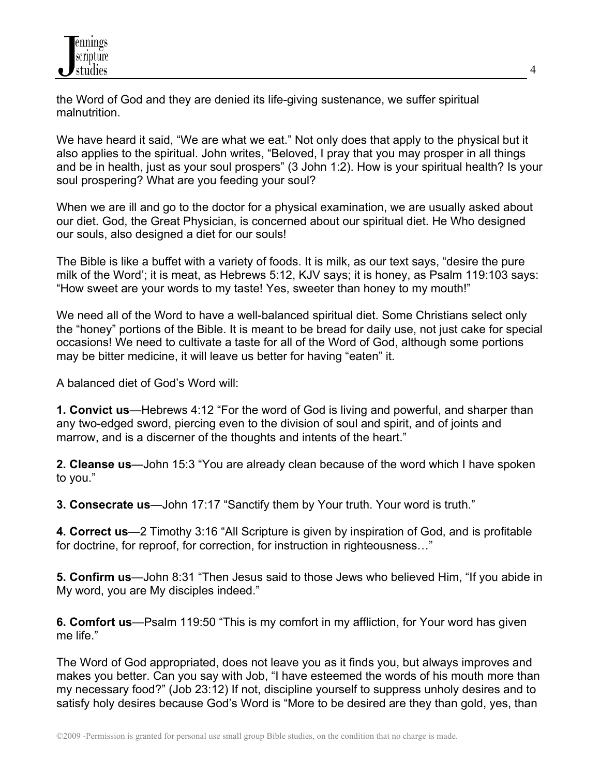the Word of God and they are denied its life-giving sustenance, we suffer spiritual malnutrition.

We have heard it said, "We are what we eat." Not only does that apply to the physical but it also applies to the spiritual. John writes, "Beloved, I pray that you may prosper in all things and be in health, just as your soul prospers" (3 John 1:2). How is your spiritual health? Is your soul prospering? What are you feeding your soul?

When we are ill and go to the doctor for a physical examination, we are usually asked about our diet. God, the Great Physician, is concerned about our spiritual diet. He Who designed our souls, also designed a diet for our souls!

The Bible is like a buffet with a variety of foods. It is milk, as our text says, "desire the pure milk of the Word'; it is meat, as Hebrews 5:12, KJV says; it is honey, as Psalm 119:103 says: "How sweet are your words to my taste! Yes, sweeter than honey to my mouth!"

We need all of the Word to have a well-balanced spiritual diet. Some Christians select only the "honey" portions of the Bible. It is meant to be bread for daily use, not just cake for special occasions! We need to cultivate a taste for all of the Word of God, although some portions may be bitter medicine, it will leave us better for having "eaten" it.

A balanced diet of God's Word will:

**1. Convict us**—Hebrews 4:12 "For the word of God is living and powerful, and sharper than any two-edged sword, piercing even to the division of soul and spirit, and of joints and marrow, and is a discerner of the thoughts and intents of the heart."

**2. Cleanse us**—John 15:3 "You are already clean because of the word which I have spoken to you."

**3. Consecrate us**—John 17:17 "Sanctify them by Your truth. Your word is truth."

**4. Correct us**—2 Timothy 3:16 "All Scripture is given by inspiration of God, and is profitable for doctrine, for reproof, for correction, for instruction in righteousness..."

**5. Confirm us**—John 8:31 "Then Jesus said to those Jews who believed Him, "If you abide in My word, you are My disciples indeed."

**6. Comfort us**—Psalm 119:50 "This is my comfort in my affliction, for Your word has given me life."

The Word of God appropriated, does not leave you as it finds you, but always improves and makes you better. Can you say with Job, "I have esteemed the words of his mouth more than my necessary food?" (Job 23:12) If not, discipline yourself to suppress unholy desires and to satisfy holy desires because God's Word is "More to be desired are they than gold, yes, than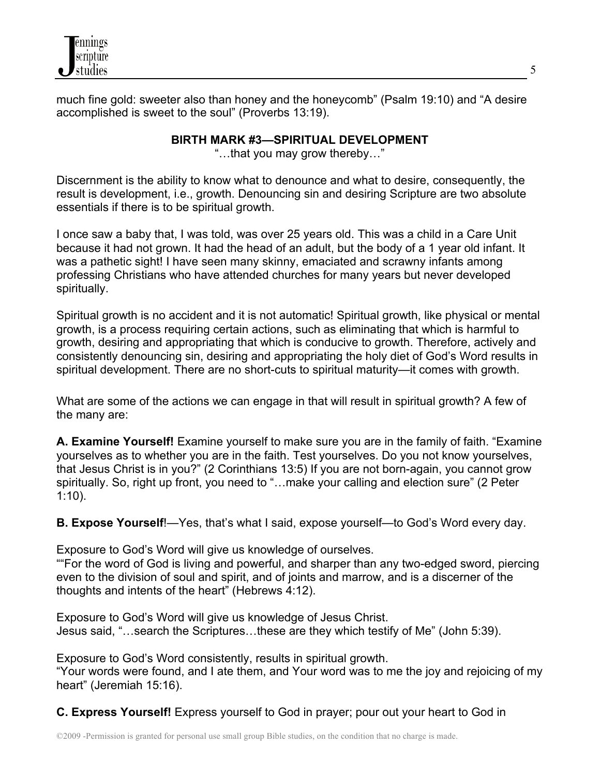

much fine gold: sweeter also than honey and the honeycomb" (Psalm 19:10) and "A desire accomplished is sweet to the soul" (Proverbs 13:19).

## **BIRTH MARK #3—SPIRITUAL DEVELOPMENT**

"…that you may grow thereby…"

Discernment is the ability to know what to denounce and what to desire, consequently, the result is development, i.e., growth. Denouncing sin and desiring Scripture are two absolute essentials if there is to be spiritual growth.

I once saw a baby that, I was told, was over 25 years old. This was a child in a Care Unit because it had not grown. It had the head of an adult, but the body of a 1 year old infant. It was a pathetic sight! I have seen many skinny, emaciated and scrawny infants among professing Christians who have attended churches for many years but never developed spiritually.

Spiritual growth is no accident and it is not automatic! Spiritual growth, like physical or mental growth, is a process requiring certain actions, such as eliminating that which is harmful to growth, desiring and appropriating that which is conducive to growth. Therefore, actively and consistently denouncing sin, desiring and appropriating the holy diet of God's Word results in spiritual development. There are no short-cuts to spiritual maturity—it comes with growth.

What are some of the actions we can engage in that will result in spiritual growth? A few of the many are:

**A. Examine Yourself!** Examine yourself to make sure you are in the family of faith. "Examine yourselves as to whether you are in the faith. Test yourselves. Do you not know yourselves, that Jesus Christ is in you?" (2 Corinthians 13:5) If you are not born-again, you cannot grow spiritually. So, right up front, you need to "...make your calling and election sure" (2 Peter 1:10).

**B. Expose Yourself**!—Yes, that's what I said, expose yourself—to God's Word every day.

Exposure to God's Word will give us knowledge of ourselves.

""For the word of God is living and powerful, and sharper than any two-edged sword, piercing even to the division of soul and spirit, and of joints and marrow, and is a discerner of the thoughts and intents of the heart" (Hebrews 4:12).

Exposure to God's Word will give us knowledge of Jesus Christ. Jesus said, "…search the Scriptures…these are they which testify of Me" (John 5:39).

Exposure to God's Word consistently, results in spiritual growth.

"Your words were found, and I ate them, and Your word was to me the joy and rejoicing of my heart" (Jeremiah 15:16).

**C. Express Yourself!** Express yourself to God in prayer; pour out your heart to God in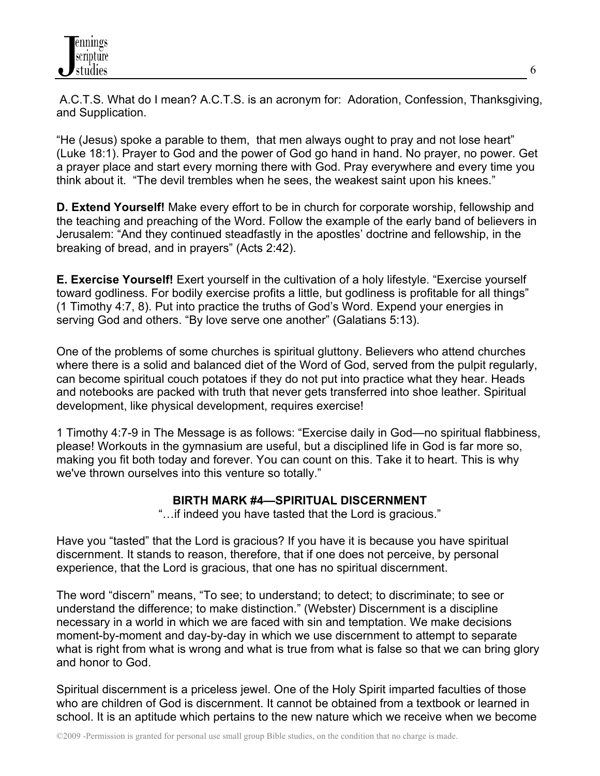A.C.T.S. What do I mean? A.C.T.S. is an acronym for: Adoration, Confession, Thanksgiving, and Supplication.

"He (Jesus) spoke a parable to them, that men always ought to pray and not lose heart" (Luke 18:1). Prayer to God and the power of God go hand in hand. No prayer, no power. Get a prayer place and start every morning there with God. Pray everywhere and every time you think about it. "The devil trembles when he sees, the weakest saint upon his knees."

**D. Extend Yourself!** Make every effort to be in church for corporate worship, fellowship and the teaching and preaching of the Word. Follow the example of the early band of believers in Jerusalem: "And they continued steadfastly in the apostles' doctrine and fellowship, in the breaking of bread, and in prayers" (Acts 2:42).

**E. Exercise Yourself!** Exert yourself in the cultivation of a holy lifestyle. "Exercise yourself toward godliness. For bodily exercise profits a little, but godliness is profitable for all things" (1 Timothy 4:7, 8). Put into practice the truths of God's Word. Expend your energies in serving God and others. "By love serve one another" (Galatians 5:13).

One of the problems of some churches is spiritual gluttony. Believers who attend churches where there is a solid and balanced diet of the Word of God, served from the pulpit regularly, can become spiritual couch potatoes if they do not put into practice what they hear. Heads and notebooks are packed with truth that never gets transferred into shoe leather. Spiritual development, like physical development, requires exercise!

1 Timothy 4:7-9 in The Message is as follows: "Exercise daily in God—no spiritual flabbiness, please! Workouts in the gymnasium are useful, but a disciplined life in God is far more so, making you fit both today and forever. You can count on this. Take it to heart. This is why we've thrown ourselves into this venture so totally."

## **BIRTH MARK #4—SPIRITUAL DISCERNMENT**

"…if indeed you have tasted that the Lord is gracious."

Have you "tasted" that the Lord is gracious? If you have it is because you have spiritual discernment. It stands to reason, therefore, that if one does not perceive, by personal experience, that the Lord is gracious, that one has no spiritual discernment.

The word "discern" means, "To see; to understand; to detect; to discriminate; to see or understand the difference; to make distinction." (Webster) Discernment is a discipline necessary in a world in which we are faced with sin and temptation. We make decisions moment-by-moment and day-by-day in which we use discernment to attempt to separate what is right from what is wrong and what is true from what is false so that we can bring glory and honor to God.

Spiritual discernment is a priceless jewel. One of the Holy Spirit imparted faculties of those who are children of God is discernment. It cannot be obtained from a textbook or learned in school. It is an aptitude which pertains to the new nature which we receive when we become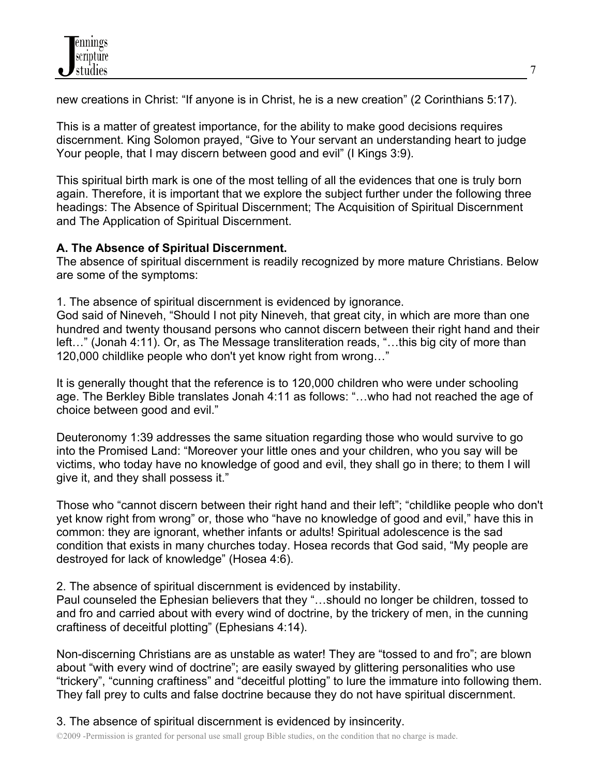new creations in Christ: "If anyone is in Christ, he is a new creation" (2 Corinthians 5:17).

This is a matter of greatest importance, for the ability to make good decisions requires discernment. King Solomon prayed, "Give to Your servant an understanding heart to judge Your people, that I may discern between good and evil" (I Kings 3:9).

This spiritual birth mark is one of the most telling of all the evidences that one is truly born again. Therefore, it is important that we explore the subject further under the following three headings: The Absence of Spiritual Discernment; The Acquisition of Spiritual Discernment and The Application of Spiritual Discernment.

# **A. The Absence of Spiritual Discernment.**

The absence of spiritual discernment is readily recognized by more mature Christians. Below are some of the symptoms:

1. The absence of spiritual discernment is evidenced by ignorance.

God said of Nineveh, "Should I not pity Nineveh, that great city, in which are more than one hundred and twenty thousand persons who cannot discern between their right hand and their left…" (Jonah 4:11). Or, as The Message transliteration reads, "…this big city of more than 120,000 childlike people who don't yet know right from wrong…"

It is generally thought that the reference is to 120,000 children who were under schooling age. The Berkley Bible translates Jonah 4:11 as follows: "…who had not reached the age of choice between good and evil."

Deuteronomy 1:39 addresses the same situation regarding those who would survive to go into the Promised Land: "Moreover your little ones and your children, who you say will be victims, who today have no knowledge of good and evil, they shall go in there; to them I will give it, and they shall possess it."

Those who "cannot discern between their right hand and their left"; "childlike people who don't yet know right from wrong" or, those who "have no knowledge of good and evil," have this in common: they are ignorant, whether infants or adults! Spiritual adolescence is the sad condition that exists in many churches today. Hosea records that God said, "My people are destroyed for lack of knowledge" (Hosea 4:6).

2. The absence of spiritual discernment is evidenced by instability.

Paul counseled the Ephesian believers that they "…should no longer be children, tossed to and fro and carried about with every wind of doctrine, by the trickery of men, in the cunning craftiness of deceitful plotting" (Ephesians 4:14).

Non-discerning Christians are as unstable as water! They are "tossed to and fro"; are blown about "with every wind of doctrine"; are easily swayed by glittering personalities who use "trickery", "cunning craftiness" and "deceitful plotting" to lure the immature into following them. They fall prey to cults and false doctrine because they do not have spiritual discernment.

3. The absence of spiritual discernment is evidenced by insincerity.

©2009 -Permission is granted for personal use small group Bible studies, on the condition that no charge is made.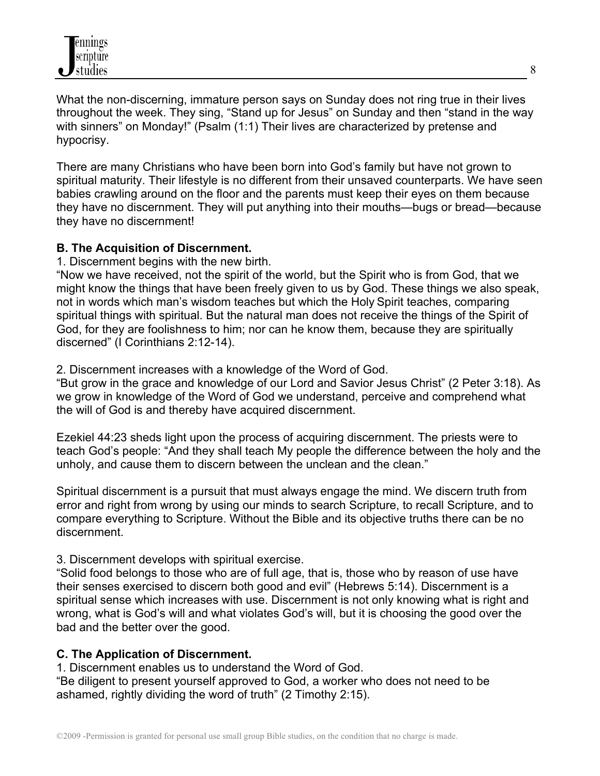What the non-discerning, immature person says on Sunday does not ring true in their lives throughout the week. They sing, "Stand up for Jesus" on Sunday and then "stand in the way with sinners" on Monday!" (Psalm (1:1) Their lives are characterized by pretense and hypocrisy.

There are many Christians who have been born into God's family but have not grown to spiritual maturity. Their lifestyle is no different from their unsaved counterparts. We have seen babies crawling around on the floor and the parents must keep their eyes on them because they have no discernment. They will put anything into their mouths—bugs or bread—because they have no discernment!

## **B. The Acquisition of Discernment.**

1. Discernment begins with the new birth.

"Now we have received, not the spirit of the world, but the Spirit who is from God, that we might know the things that have been freely given to us by God. These things we also speak, not in words which man's wisdom teaches but which the Holy Spirit teaches, comparing spiritual things with spiritual. But the natural man does not receive the things of the Spirit of God, for they are foolishness to him; nor can he know them, because they are spiritually discerned" (I Corinthians 2:12-14).

## 2. Discernment increases with a knowledge of the Word of God.

"But grow in the grace and knowledge of our Lord and Savior Jesus Christ" (2 Peter 3:18). As we grow in knowledge of the Word of God we understand, perceive and comprehend what the will of God is and thereby have acquired discernment.

Ezekiel 44:23 sheds light upon the process of acquiring discernment. The priests were to teach God's people: "And they shall teach My people the difference between the holy and the unholy, and cause them to discern between the unclean and the clean."

Spiritual discernment is a pursuit that must always engage the mind. We discern truth from error and right from wrong by using our minds to search Scripture, to recall Scripture, and to compare everything to Scripture. Without the Bible and its objective truths there can be no discernment.

## 3. Discernment develops with spiritual exercise.

"Solid food belongs to those who are of full age, that is, those who by reason of use have their senses exercised to discern both good and evil" (Hebrews 5:14). Discernment is a spiritual sense which increases with use. Discernment is not only knowing what is right and wrong, what is God's will and what violates God's will, but it is choosing the good over the bad and the better over the good.

## **C. The Application of Discernment.**

1. Discernment enables us to understand the Word of God.

"Be diligent to present yourself approved to God, a worker who does not need to be ashamed, rightly dividing the word of truth" (2 Timothy 2:15).